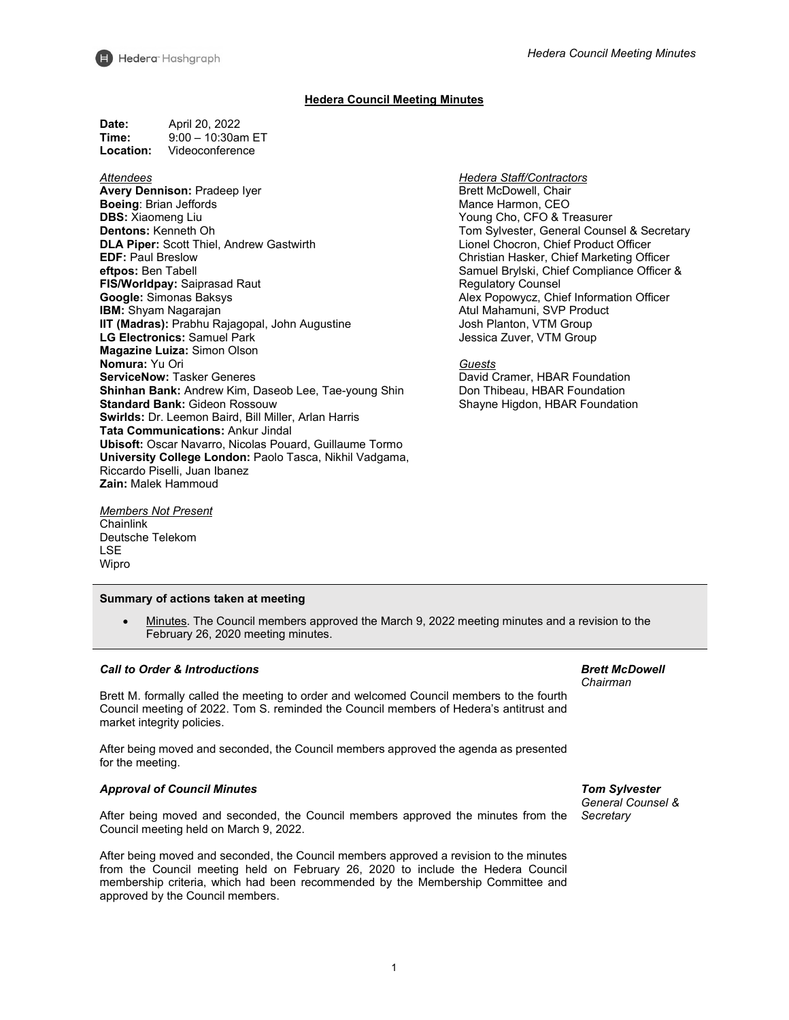

# **Hedera Council Meeting Minutes**

| Date:     | April 20, 2022       |
|-----------|----------------------|
| Time:     | $9:00 - 10:30$ am ET |
| Location: | Videoconference      |

### *Attendees*

**Avery Dennison:** Pradeep Iyer **Boeing**: Brian Jeffords **DBS:** Xiaomeng Liu **Dentons:** Kenneth Oh **DLA Piper:** Scott Thiel, Andrew Gastwirth **EDF:** Paul Breslow **eftpos:** Ben Tabell **FIS/Worldpay:** Saiprasad Raut **Google:** Simonas Baksys **IBM:** Shyam Nagarajan **IIT (Madras):** Prabhu Rajagopal, John Augustine **LG Electronics:** Samuel Park **Magazine Luiza:** Simon Olson **Nomura:** Yu Ori **ServiceNow:** Tasker Generes **Shinhan Bank:** Andrew Kim, Daseob Lee, Tae-young Shin **Standard Bank:** Gideon Rossouw **Swirlds:** Dr. Leemon Baird, Bill Miller, Arlan Harris **Tata Communications:** Ankur Jindal **Ubisoft:** Oscar Navarro, Nicolas Pouard, Guillaume Tormo **University College London:** Paolo Tasca, Nikhil Vadgama, Riccardo Piselli, Juan Ibanez **Zain:** Malek Hammoud

*Members Not Present* **Chainlink** Deutsche Telekom LSE Wipro

#### **Summary of actions taken at meeting**

• Minutes. The Council members approved the March 9, 2022 meeting minutes and a revision to the February 26, 2020 meeting minutes.

#### *Call to Order & Introductions*

Brett M. formally called the meeting to order and welcomed Council members to the fourth Council meeting of 2022. Tom S. reminded the Council members of Hedera's antitrust and market integrity policies.

After being moved and seconded, the Council members approved the agenda as presented for the meeting.

#### *Approval of Council Minutes*

After being moved and seconded, the Council members approved the minutes from the Council meeting held on March 9, 2022.

After being moved and seconded, the Council members approved a revision to the minutes from the Council meeting held on February 26, 2020 to include the Hedera Council membership criteria, which had been recommended by the Membership Committee and approved by the Council members.

*Brett McDowell Chairman*

*Tom Sylvester General Counsel & Secretary*

*Hedera Staff/Contractors* Brett McDowell, Chair Mance Harmon, CEO Young Cho, CFO & Treasurer Tom Sylvester, General Counsel & Secretary Lionel Chocron, Chief Product Officer Christian Hasker, Chief Marketing Officer Samuel Brylski, Chief Compliance Officer & Regulatory Counsel Alex Popowycz, Chief Information Officer Atul Mahamuni, SVP Product Josh Planton, VTM Group Jessica Zuver, VTM Group

### *Guests*

David Cramer, HBAR Foundation Don Thibeau, HBAR Foundation Shayne Higdon, HBAR Foundation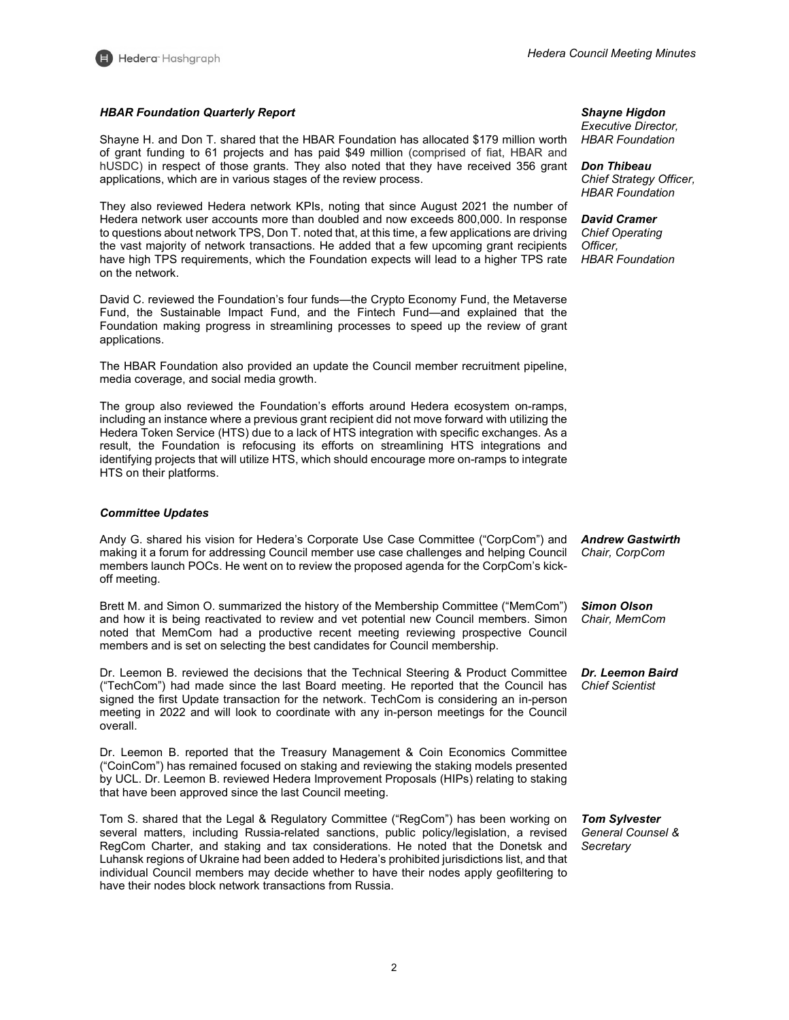

# *HBAR Foundation Quarterly Report*

Shayne H. and Don T. shared that the HBAR Foundation has allocated \$179 million worth of grant funding to 61 projects and has paid \$49 million (comprised of fiat, HBAR and hUSDC) in respect of those grants. They also noted that they have received 356 grant applications, which are in various stages of the review process.

They also reviewed Hedera network KPIs, noting that since August 2021 the number of Hedera network user accounts more than doubled and now exceeds 800,000. In response to questions about network TPS, Don T. noted that, at this time, a few applications are driving the vast majority of network transactions. He added that a few upcoming grant recipients have high TPS requirements, which the Foundation expects will lead to a higher TPS rate on the network.

David C. reviewed the Foundation's four funds—the Crypto Economy Fund, the Metaverse Fund, the Sustainable Impact Fund, and the Fintech Fund—and explained that the Foundation making progress in streamlining processes to speed up the review of grant applications.

The HBAR Foundation also provided an update the Council member recruitment pipeline, media coverage, and social media growth.

The group also reviewed the Foundation's efforts around Hedera ecosystem on-ramps, including an instance where a previous grant recipient did not move forward with utilizing the Hedera Token Service (HTS) due to a lack of HTS integration with specific exchanges. As a result, the Foundation is refocusing its efforts on streamlining HTS integrations and identifying projects that will utilize HTS, which should encourage more on-ramps to integrate HTS on their platforms.

## *Committee Updates*

Andy G. shared his vision for Hedera's Corporate Use Case Committee ("CorpCom") and making it a forum for addressing Council member use case challenges and helping Council members launch POCs. He went on to review the proposed agenda for the CorpCom's kickoff meeting.

Brett M. and Simon O. summarized the history of the Membership Committee ("MemCom") and how it is being reactivated to review and vet potential new Council members. Simon noted that MemCom had a productive recent meeting reviewing prospective Council members and is set on selecting the best candidates for Council membership.

Dr. Leemon B. reviewed the decisions that the Technical Steering & Product Committee ("TechCom") had made since the last Board meeting. He reported that the Council has signed the first Update transaction for the network. TechCom is considering an in-person meeting in 2022 and will look to coordinate with any in-person meetings for the Council overall.

Dr. Leemon B. reported that the Treasury Management & Coin Economics Committee ("CoinCom") has remained focused on staking and reviewing the staking models presented by UCL. Dr. Leemon B. reviewed Hedera Improvement Proposals (HIPs) relating to staking that have been approved since the last Council meeting.

Tom S. shared that the Legal & Regulatory Committee ("RegCom") has been working on several matters, including Russia-related sanctions, public policy/legislation, a revised RegCom Charter, and staking and tax considerations. He noted that the Donetsk and Luhansk regions of Ukraine had been added to Hedera's prohibited jurisdictions list, and that individual Council members may decide whether to have their nodes apply geofiltering to have their nodes block network transactions from Russia.

*Shayne Higdon Executive Director, HBAR Foundation*

*Don Thibeau Chief Strategy Officer, HBAR Foundation*

*David Cramer Chief Operating Officer, HBAR Foundation*

*Andrew Gastwirth Chair, CorpCom*

*Simon Olson Chair, MemCom*

*Dr. Leemon Baird Chief Scientist*

*Tom Sylvester General Counsel & Secretary*